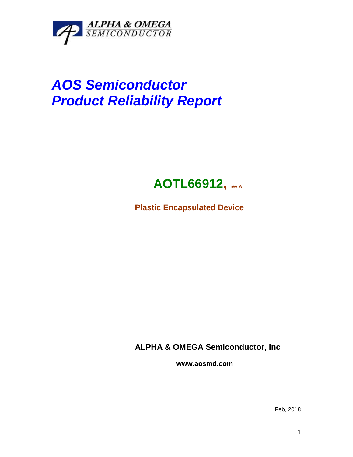

## *AOS Semiconductor Product Reliability Report*



**Plastic Encapsulated Device**

**ALPHA & OMEGA Semiconductor, Inc**

**www.aosmd.com**

Feb, 2018